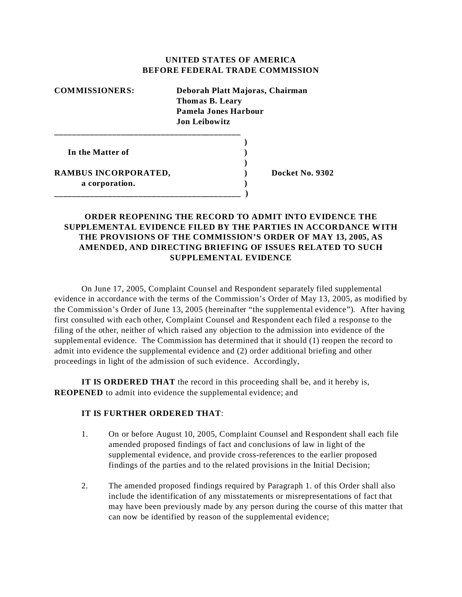## **UNITED STATES OF AMERICA BEFORE FEDERAL TRADE COMMISSION**

| <b>COMMISSIONERS:</b>                  | Deborah Platt Majoras, Chairman<br><b>Thomas B. Leary</b><br>Pamela Jones Harbour<br><b>Jon Leibowitz</b> |                 |
|----------------------------------------|-----------------------------------------------------------------------------------------------------------|-----------------|
| In the Matter of                       |                                                                                                           |                 |
| RAMBUS INCORPORATED,<br>a corporation. |                                                                                                           | Docket No. 9302 |

**\_\_\_\_\_\_\_\_\_\_\_\_\_\_\_\_\_\_\_\_\_\_\_\_\_\_\_\_\_\_\_\_\_\_\_\_\_\_\_\_\_\_ )**

## **ORDER REOPENING THE RECORD TO ADMIT INTO EVIDENCE THE SUPPLEMENTAL EVIDENCE FILED BY THE PARTIES IN ACCORDANCE WITH THE PROVISIONS OF THE COMMISSION'S ORDER OF MAY 13, 2005, AS AMENDED, AND DIRECTING BRIEFING OF ISSUES RELATED TO SUCH SUPPLEMENTAL EVIDENCE**

On June 17, 2005, Complaint Counsel and Respondent separately filed supplemental evidence in accordance with the terms of the Commission's Order of May 13, 2005, as modified by the Commission's Order of June 13, 2005 (hereinafter "the supplemental evidence"). After having first consulted with each other, Complaint Counsel and Respondent each filed a response to the filing of the other, neither of which raised any objection to the admission into evidence of the supplemental evidence. The Commission has determined that it should (1) reopen the record to admit into evidence the supplemental evidence and (2) order additional briefing and other proceedings in light of the admission of such evidence. Accordingly,

**IT IS ORDERED THAT** the record in this proceeding shall be, and it hereby is, **REOPENED** to admit into evidence the supplemental evidence; and

## **IT IS FURTHER ORDERED THAT**:

- 1. On or before August 10, 2005, Complaint Counsel and Respondent shall each file amended proposed findings of fact and conclusions of law in light of the supplemental evidence, and provide cross-references to the earlier proposed findings of the parties and to the related provisions in the Initial Decision;
- 2. The amended proposed findings required by Paragraph 1. of this Order shall also include the identification of any misstatements or misrepresentations of fact that may have been previously made by any person during the course of this matter that can now be identified by reason of the supplemental evidence;